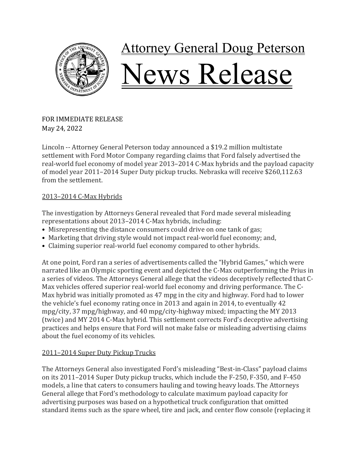

FOR IMMEDIATE RELEASE May 24, 2022

Lincoln -- Attorney General Peterson today announced a \$19.2 million multistate settlement with Ford Motor Company regarding claims that Ford falsely advertised the real-world fuel economy of model year 2013–2014 C-Max hybrids and the payload capacity of model year 2011–2014 Super Duty pickup trucks. Nebraska will receive \$260,112.63 from the settlement.

## 2013-2014 C-Max Hybrids

The investigation by Attorneys General revealed that Ford made several misleading representations about 2013–2014 C-Max hybrids, including:

- Misrepresenting the distance consumers could drive on one tank of gas;
- Marketing that driving style would not impact real-world fuel economy; and,
- Claiming superior real-world fuel economy compared to other hybrids.

At one point, Ford ran a series of advertisements called the "Hybrid Games," which were narrated like an Olympic sporting event and depicted the C-Max outperforming the Prius in a series of videos. The Attorneys General allege that the videos deceptively reflected that C-Max vehicles offered superior real-world fuel economy and driving performance. The C-Max hybrid was initially promoted as 47 mpg in the city and highway. Ford had to lower the vehicle's fuel economy rating once in 2013 and again in 2014, to eventually 42 mpg/city, 37 mpg/highway, and 40 mpg/city-highway mixed; impacting the MY 2013 (twice) and MY 2014 C-Max hybrid. This settlement corrects Ford's deceptive advertising practices and helps ensure that Ford will not make false or misleading advertising claims about the fuel economy of its vehicles.

## 2011–2014 Super Duty Pickup Trucks

The Attorneys General also investigated Ford's misleading "Best-in-Class" payload claims on its 2011–2014 Super Duty pickup trucks, which include the F-250, F-350, and F-450 models, a line that caters to consumers hauling and towing heavy loads. The Attorneys General allege that Ford's methodology to calculate maximum payload capacity for advertising purposes was based on a hypothetical truck configuration that omitted standard items such as the spare wheel, tire and jack, and center flow console (replacing it